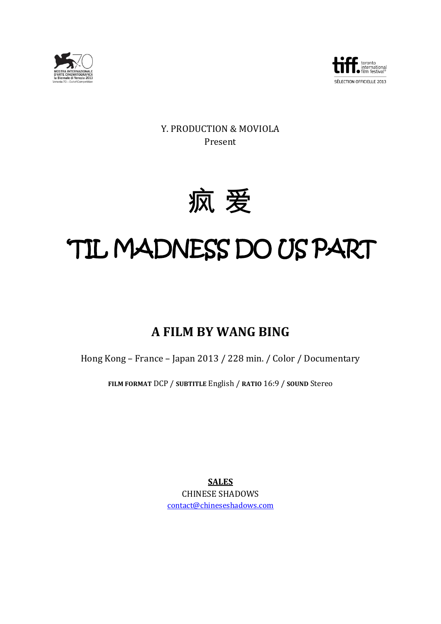



Y. PRODUCTION & MOVIOLA Present



# 'TIL MADNESS DO US PART

## **A FILM BY WANG BING**

Hong Kong – France – Japan 2013 / 228 min. / Color / Documentary

**FILM FORMAT** DCP / **SUBTITLE** English / **RATIO** 16:9 / **SOUND** Stereo

**SALES** CHINESE SHADOWS [contact@chineseshadows.com](mailto:contact@chineseshadows.com)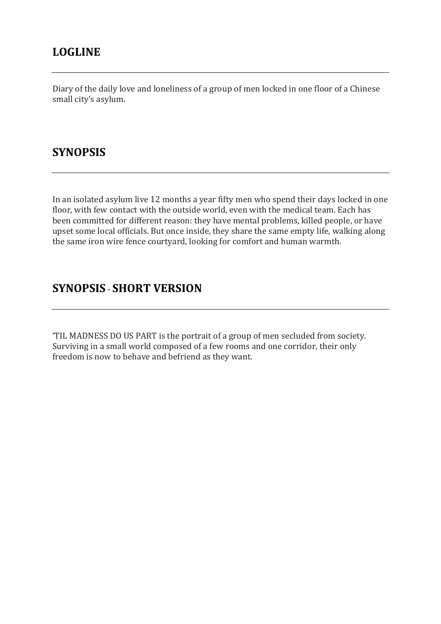## **LOGLINE**

Diary of the daily love and loneliness of a group of men locked in one floor of a Chinese small city's asylum.

## **SYNOPSIS**

In an isolated asylum live 12 months a year fifty men who spend their days locked in one floor, with few contact with the outside world, even with the medical team. Each has been committed for different reason: they have mental problems, killed people, or have upset some local officials. But once inside, they share the same empty life, walking along the same iron wire fence courtyard, looking for comfort and human warmth.

## **SYNOPSIS** - **SHORT VERSION**

'TIL MADNESS DO US PART is the portrait of a group of men secluded from society. Surviving in a small world composed of a few rooms and one corridor, their only freedom is now to behave and befriend as they want.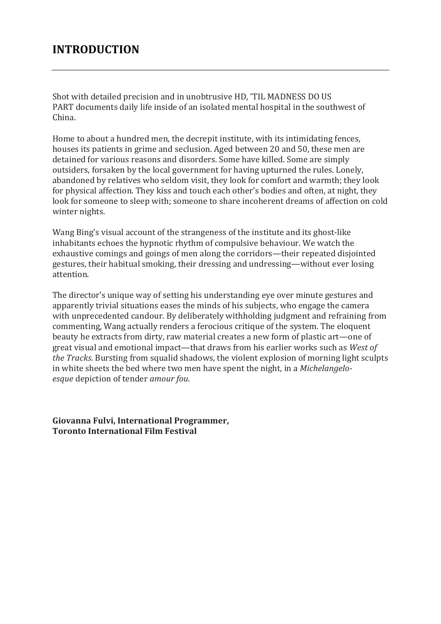## **INTRODUCTION**

Shot with detailed precision and in unobtrusive HD, 'TIL MADNESS DO US PART documents daily life inside of an isolated mental hospital in the southwest of China.

Home to about a hundred men, the decrepit institute, with its intimidating fences, houses its patients in grime and seclusion. Aged between 20 and 50, these men are detained for various reasons and disorders. Some have killed. Some are simply outsiders, forsaken by the local government for having upturned the rules. Lonely, abandoned by relatives who seldom visit, they look for comfort and warmth; they look for physical affection. They kiss and touch each other's bodies and often, at night, they look for someone to sleep with; someone to share incoherent dreams of affection on cold winter nights.

Wang Bing's visual account of the strangeness of the institute and its ghost-like inhabitants echoes the hypnotic rhythm of compulsive behaviour. We watch the exhaustive comings and goings of men along the corridors—their repeated disjointed gestures, their habitual smoking, their dressing and undressing—without ever losing attention.

The director's unique way of setting his understanding eye over minute gestures and apparently trivial situations eases the minds of his subjects, who engage the camera with unprecedented candour. By deliberately withholding judgment and refraining from commenting, Wang actually renders a ferocious critique of the system. The eloquent beauty he extracts from dirty, raw material creates a new form of plastic art—one of great visual and emotional impact—that draws from his earlier works such as *West of the Tracks*. Bursting from squalid shadows, the violent explosion of morning light sculpts in white sheets the bed where two men have spent the night, in a *Michelangeloesque* depiction of tender *amour fou*.

**Giovanna Fulvi, International Programmer, Toronto International Film Festival**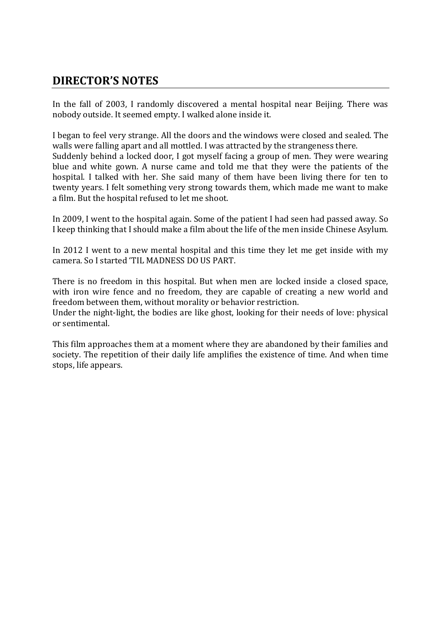### **DIRECTOR'S NOTES**

In the fall of 2003, I randomly discovered a mental hospital near Beijing. There was nobody outside. It seemed empty. I walked alone inside it.

I began to feel very strange. All the doors and the windows were closed and sealed. The walls were falling apart and all mottled. I was attracted by the strangeness there.

Suddenly behind a locked door, I got myself facing a group of men. They were wearing blue and white gown. A nurse came and told me that they were the patients of the hospital. I talked with her. She said many of them have been living there for ten to twenty years. I felt something very strong towards them, which made me want to make a film. But the hospital refused to let me shoot.

In 2009, I went to the hospital again. Some of the patient I had seen had passed away. So I keep thinking that I should make a film about the life of the men inside Chinese Asylum.

In 2012 I went to a new mental hospital and this time they let me get inside with my camera. So I started 'TIL MADNESS DO US PART.

There is no freedom in this hospital. But when men are locked inside a closed space, with iron wire fence and no freedom, they are capable of creating a new world and freedom between them, without morality or behavior restriction.

Under the night-light, the bodies are like ghost, looking for their needs of love: physical or sentimental.

This film approaches them at a moment where they are abandoned by their families and society. The repetition of their daily life amplifies the existence of time. And when time stops, life appears.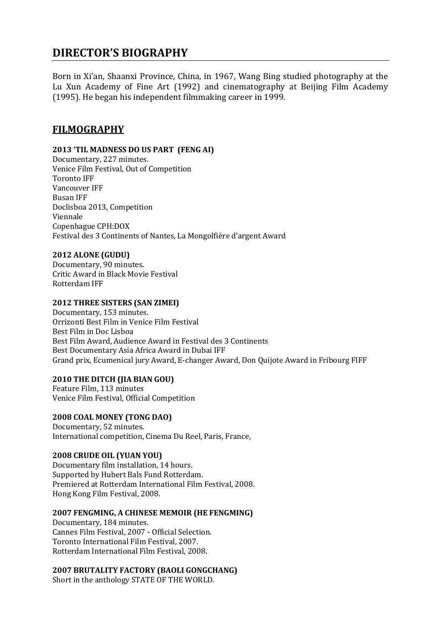## **DIRECTOR'S BIOGRAPHY**

Born in Xi'an, Shaanxi Province, China, in 1967, Wang Bing studied photography at the Lu Xun Academy of Fine Art (1992) and cinematography at Beijing Film Academy (1995). He began his independent filmmaking career in 1999.

#### **FILMOGRAPHY**

#### **2013 'TIL MADNESS DO US PART (FENG AI)**

Documentary, 227 minutes. Venice Film Festival, Out of Competition Toronto IFF Vancouver IFF Busan IFF Doclisboa 2013, Competition Viennale Copenhague CPH:DOX Festival des [3 Continents](http://www.3continents.com/) of Nantes, La Mongolfière d'argent Award

#### **2012 ALONE (GUDU)**

Documentary, 90 minutes. Critic Award in Black Movie Festival Rotterdam IFF

#### **2012 THREE SISTERS (SAN ZIMEI)**

Documentary, 153 minutes. Orrizonti Best Film in Venice Film Festival Best Film in Doc Lisboa Best Film Award, Audience Award in Festival des 3 Continents Best Documentary Asia Africa Award in Dubai IFF Grand prix, Ecumenical jury Award, E-changer Award, Don Quijote Award in Fribourg FIFF

#### **2010 THE DITCH (JIA BIAN GOU)**

Feature Film, 113 minutes Venice Film Festival, Official Competition

**2008 COAL MONEY (TONG DAO)** Documentary, 52 minutes. International competition, Cinema Du Reel, Paris, France,

#### **2008 CRUDE OIL (YUAN YOU)**

Documentary film installation, 14 hours. Supported by Hubert Bals Fund Rotterdam. Premiered at Rotterdam International Film Festival, 2008. Hong Kong Film Festival, 2008.

#### **2007 FENGMING, A CHINESE MEMOIR (HE FENGMING)**

Documentary, 184 minutes. Cannes Film Festival, 2007 - Official Selection. Toronto International Film Festival, 2007. Rotterdam International Film Festival, 2008.

#### **2007 BRUTALITY FACTORY (BAOLI GONGCHANG)**

Short in the anthology STATE OF THE WORLD.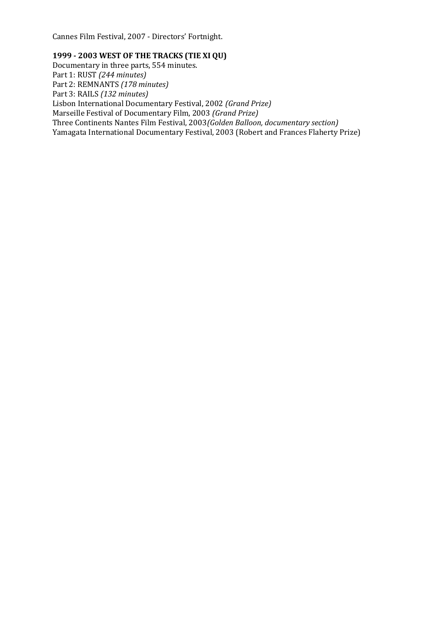Cannes Film Festival, 2007 - Directors' Fortnight.

#### **1999 - 2003 WEST OF THE TRACKS (TIE XI QU)**

Documentary in three parts, 554 minutes. Part 1: RUST *(244 minutes)* Part 2: REMNANTS *(178 minutes)* Part 3: RAILS *(132 minutes)* Lisbon International Documentary Festival, 2002 *(Grand Prize)* Marseille Festival of Documentary Film, 2003 *(Grand Prize)* Three Continents Nantes Film Festival, 2003*(Golden Balloon, documentary section)* Yamagata International Documentary Festival, 2003 (Robert and Frances Flaherty Prize)